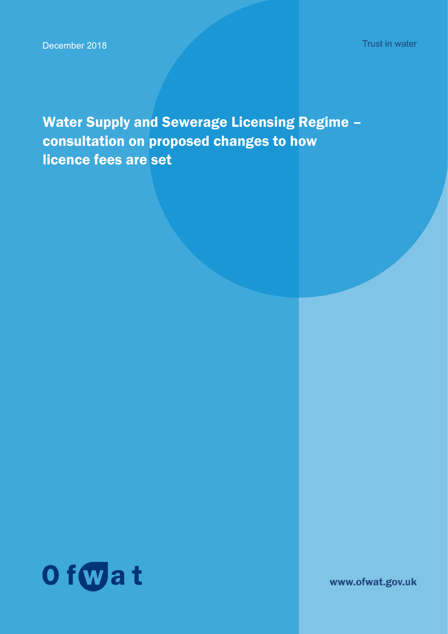Water Supply and Sewerage Licensing Regime – consultation on proposed changes to how licence fees are set



www.ofwat.gov.uk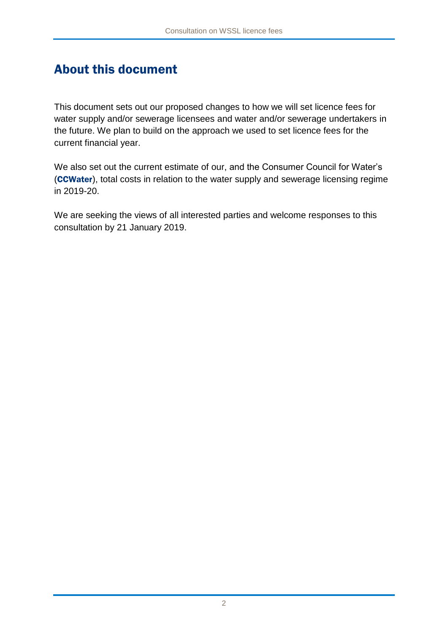## About this document

This document sets out our proposed changes to how we will set licence fees for water supply and/or sewerage licensees and water and/or sewerage undertakers in the future. We plan to build on the approach we used to set licence fees for the current financial year.

We also set out the current estimate of our, and the Consumer Council for Water's (CCWater), total costs in relation to the water supply and sewerage licensing regime in 2019-20.

We are seeking the views of all interested parties and welcome responses to this consultation by 21 January 2019.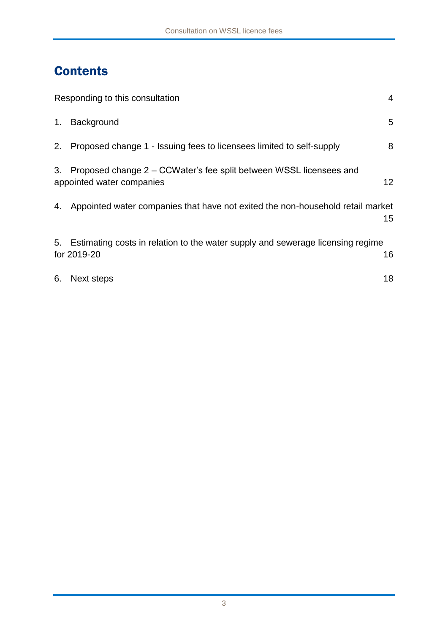# **Contents**

| 4<br>Responding to this consultation |                                                                                                 |                 |  |  |
|--------------------------------------|-------------------------------------------------------------------------------------------------|-----------------|--|--|
| 1.                                   | Background                                                                                      | 5               |  |  |
| 2.                                   | Proposed change 1 - Issuing fees to licensees limited to self-supply                            | 8               |  |  |
| 3.                                   | Proposed change 2 – CCWater's fee split between WSSL licensees and<br>appointed water companies | 12 <sup>°</sup> |  |  |
| 4.                                   | Appointed water companies that have not exited the non-household retail market                  | 15 <sub>1</sub> |  |  |
| 5.                                   | Estimating costs in relation to the water supply and sewerage licensing regime<br>for 2019-20   | 16              |  |  |
| 6.                                   | Next steps                                                                                      | 18              |  |  |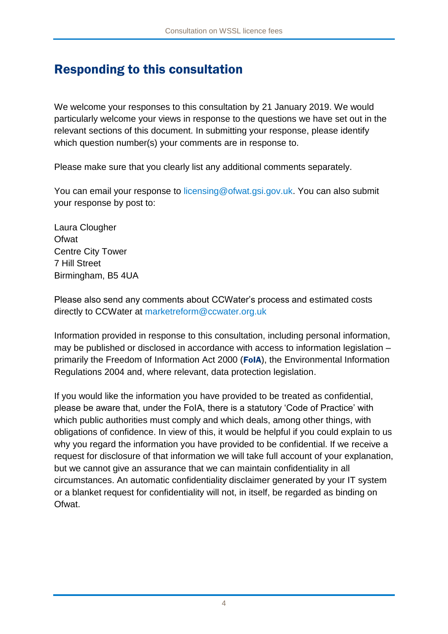## Responding to this consultation

We welcome your responses to this consultation by 21 January 2019. We would particularly welcome your views in response to the questions we have set out in the relevant sections of this document. In submitting your response, please identify which question number(s) your comments are in response to.

Please make sure that you clearly list any additional comments separately.

You can email your response to [licensing@ofwat.gsi.gov.uk.](mailto:licensing@ofwat.gsi.gov.uk) You can also submit your response by post to:

Laura Clougher **Ofwat** Centre City Tower 7 Hill Street Birmingham, B5 4UA

Please also send any comments about CCWater's process and estimated costs directly to CCWater at [marketreform@ccwater.org.uk](mailto:marketreform@ccwater.org.uk)

Information provided in response to this consultation, including personal information, may be published or disclosed in accordance with access to information legislation – primarily the Freedom of Information Act 2000 (FoIA), the Environmental Information Regulations 2004 and, where relevant, data protection legislation.

If you would like the information you have provided to be treated as confidential, please be aware that, under the FoIA, there is a statutory 'Code of Practice' with which public authorities must comply and which deals, among other things, with obligations of confidence. In view of this, it would be helpful if you could explain to us why you regard the information you have provided to be confidential. If we receive a request for disclosure of that information we will take full account of your explanation, but we cannot give an assurance that we can maintain confidentiality in all circumstances. An automatic confidentiality disclaimer generated by your IT system or a blanket request for confidentiality will not, in itself, be regarded as binding on Ofwat.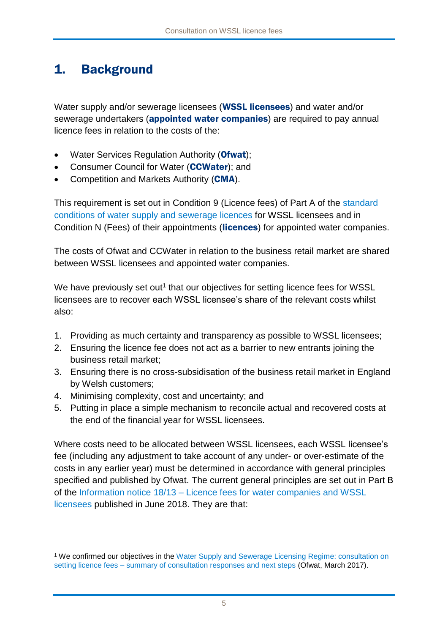## 1. Background

Water supply and/or sewerage licensees (WSSL licensees) and water and/or sewerage undertakers (appointed water companies) are required to pay annual licence fees in relation to the costs of the:

- Water Services Regulation Authority (Ofwat);
- Consumer Council for Water (CCWater); and
- Competition and Markets Authority (CMA).

This requirement is set out in Condition 9 (Licence fees) of Part A of the [standard](https://www.gov.uk/government/publications/water-supply-and-sewerage-licencing-regime-standard-licence-conditions)  [conditions of water supply and sewerage licences](https://www.gov.uk/government/publications/water-supply-and-sewerage-licencing-regime-standard-licence-conditions) for WSSL licensees and in Condition N (Fees) of their appointments (licences) for appointed water companies.

The costs of Ofwat and CCWater in relation to the business retail market are shared between WSSL licensees and appointed water companies.

We have previously set out<sup>1</sup> that our objectives for setting licence fees for WSSL licensees are to recover each WSSL licensee's share of the relevant costs whilst also:

- 1. Providing as much certainty and transparency as possible to WSSL licensees;
- 2. Ensuring the licence fee does not act as a barrier to new entrants joining the business retail market;
- 3. Ensuring there is no cross-subsidisation of the business retail market in England by Welsh customers;
- 4. Minimising complexity, cost and uncertainty; and
- 5. Putting in place a simple mechanism to reconcile actual and recovered costs at the end of the financial year for WSSL licensees.

Where costs need to be allocated between WSSL licensees, each WSSL licensee's fee (including any adjustment to take account of any under- or over-estimate of the costs in any earlier year) must be determined in accordance with general principles specified and published by Ofwat. The current general principles are set out in Part B of the Information notice 18/13 – [Licence fees for water companies and WSSL](https://www.ofwat.gov.uk/wp-content/uploads/2018/06/IN-1813-Licence-fees-for-water-companies-and-WSSL-licensees-final.pdf)  [licensees](https://www.ofwat.gov.uk/wp-content/uploads/2018/06/IN-1813-Licence-fees-for-water-companies-and-WSSL-licensees-final.pdf) published in June 2018. They are that:

<sup>1</sup> <sup>1</sup> We confirmed our objectives in the [Water Supply and Sewerage Licensing Regime: consultation on](https://www.ofwat.gov.uk/publication/wssl-licence-fee-consultation-summary-responses-conclusions/)  setting licence fees – [summary of consultation responses and next steps](https://www.ofwat.gov.uk/publication/wssl-licence-fee-consultation-summary-responses-conclusions/) (Ofwat, March 2017).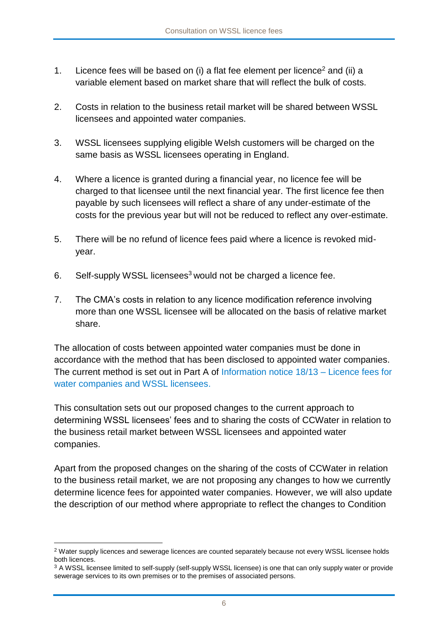- 1. Licence fees will be based on  $(i)$  a flat fee element per licence<sup>2</sup> and  $(ii)$  a variable element based on market share that will reflect the bulk of costs.
- 2. Costs in relation to the business retail market will be shared between WSSL licensees and appointed water companies.
- 3. WSSL licensees supplying eligible Welsh customers will be charged on the same basis as WSSL licensees operating in England.
- 4. Where a licence is granted during a financial year, no licence fee will be charged to that licensee until the next financial year. The first licence fee then payable by such licensees will reflect a share of any under-estimate of the costs for the previous year but will not be reduced to reflect any over-estimate.
- 5. There will be no refund of licence fees paid where a licence is revoked midyear.
- 6. Self-supply WSSL licensees<sup>3</sup> would not be charged a licence fee.
- 7. The CMA's costs in relation to any licence modification reference involving more than one WSSL licensee will be allocated on the basis of relative market share.

The allocation of costs between appointed water companies must be done in accordance with the method that has been disclosed to appointed water companies. The current method is set out in Part A of [Information notice 18/13 –](https://www.ofwat.gov.uk/wp-content/uploads/2018/06/IN-1813-Licence-fees-for-water-companies-and-WSSL-licensees-final.pdf) Licence fees for [water companies and WSSL licensees.](https://www.ofwat.gov.uk/wp-content/uploads/2018/06/IN-1813-Licence-fees-for-water-companies-and-WSSL-licensees-final.pdf)

This consultation sets out our proposed changes to the current approach to determining WSSL licensees' fees and to sharing the costs of CCWater in relation to the business retail market between WSSL licensees and appointed water companies.

Apart from the proposed changes on the sharing of the costs of CCWater in relation to the business retail market, we are not proposing any changes to how we currently determine licence fees for appointed water companies. However, we will also update the description of our method where appropriate to reflect the changes to Condition

<sup>&</sup>lt;sup>2</sup> Water supply licences and sewerage licences are counted separately because not every WSSL licensee holds both licences.

<sup>&</sup>lt;sup>3</sup> A WSSL licensee limited to self-supply (self-supply WSSL licensee) is one that can only supply water or provide sewerage services to its own premises or to the premises of associated persons.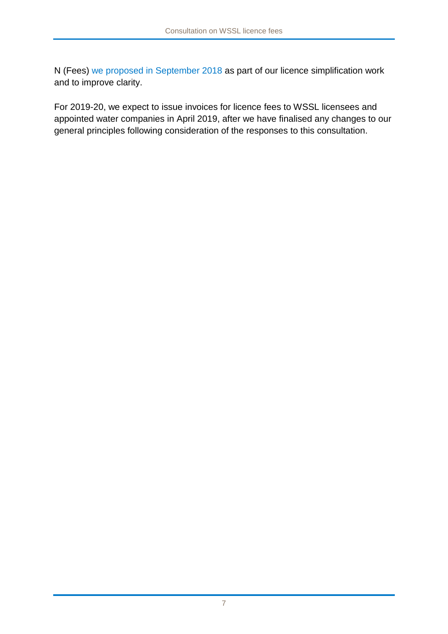N (Fees) [we proposed in September 2018](https://www.ofwat.gov.uk/consultation/consultation-section-13-water-industry-act-1991-proposed-modification-simplify-various-conditions-undertakers-licences/) as part of our licence simplification work and to improve clarity.

For 2019-20, we expect to issue invoices for licence fees to WSSL licensees and appointed water companies in April 2019, after we have finalised any changes to our general principles following consideration of the responses to this consultation.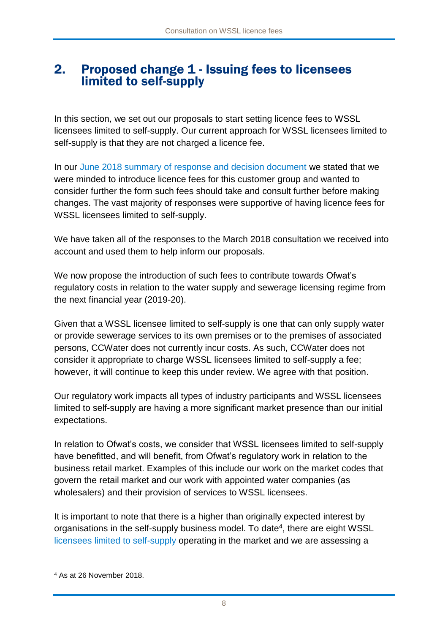## 2. Proposed change 1 - Issuing fees to licensees limited to self-supply

In this section, we set out our proposals to start setting licence fees to WSSL licensees limited to self-supply. Our current approach for WSSL licensees limited to self-supply is that they are not charged a licence fee.

In our [June 2018 summary of response and decision document](https://www.ofwat.gov.uk/publication/wssl-licence-fee-consultation-summary-of-responses-and-conclusions/) we stated that we were minded to introduce licence fees for this customer group and wanted to consider further the form such fees should take and consult further before making changes. The vast majority of responses were supportive of having licence fees for WSSL licensees limited to self-supply.

We have taken all of the responses to the March 2018 consultation we received into account and used them to help inform our proposals.

We now propose the introduction of such fees to contribute towards Ofwat's regulatory costs in relation to the water supply and sewerage licensing regime from the next financial year (2019-20).

Given that a WSSL licensee limited to self-supply is one that can only supply water or provide sewerage services to its own premises or to the premises of associated persons, CCWater does not currently incur costs. As such, CCWater does not consider it appropriate to charge WSSL licensees limited to self-supply a fee; however, it will continue to keep this under review. We agree with that position.

Our regulatory work impacts all types of industry participants and WSSL licensees limited to self-supply are having a more significant market presence than our initial expectations.

In relation to Ofwat's costs, we consider that WSSL licensees limited to self-supply have benefitted, and will benefit, from Ofwat's regulatory work in relation to the business retail market. Examples of this include our work on the market codes that govern the retail market and our work with appointed water companies (as wholesalers) and their provision of services to WSSL licensees.

It is important to note that there is a higher than originally expected interest by organisations in the self-supply business model. To date<sup>4</sup>, there are eight WSSL [licensees limited to self-supply](https://www.ofwat.gov.uk/regulated-companies/ofwat-industry-overview/licences/) operating in the market and we are assessing a

<sup>4</sup> As at 26 November 2018.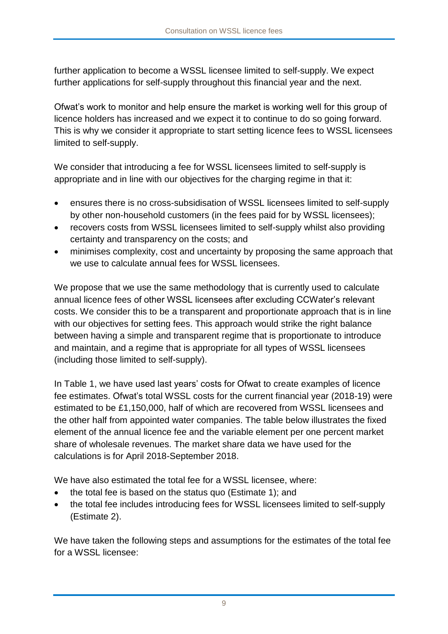further application to become a WSSL licensee limited to self-supply. We expect further applications for self-supply throughout this financial year and the next.

Ofwat's work to monitor and help ensure the market is working well for this group of licence holders has increased and we expect it to continue to do so going forward. This is why we consider it appropriate to start setting licence fees to WSSL licensees limited to self-supply.

We consider that introducing a fee for WSSL licensees limited to self-supply is appropriate and in line with our objectives for the charging regime in that it:

- ensures there is no cross-subsidisation of WSSL licensees limited to self-supply by other non-household customers (in the fees paid for by WSSL licensees);
- recovers costs from WSSL licensees limited to self-supply whilst also providing certainty and transparency on the costs; and
- minimises complexity, cost and uncertainty by proposing the same approach that we use to calculate annual fees for WSSL licensees.

We propose that we use the same methodology that is currently used to calculate annual licence fees of other WSSL licensees after excluding CCWater's relevant costs. We consider this to be a transparent and proportionate approach that is in line with our objectives for setting fees. This approach would strike the right balance between having a simple and transparent regime that is proportionate to introduce and maintain, and a regime that is appropriate for all types of WSSL licensees (including those limited to self-supply).

In Table 1, we have used last years' costs for Ofwat to create examples of licence fee estimates. Ofwat's total WSSL costs for the current financial year (2018-19) were estimated to be £1,150,000, half of which are recovered from WSSL licensees and the other half from appointed water companies. The table below illustrates the fixed element of the annual licence fee and the variable element per one percent market share of wholesale revenues. The market share data we have used for the calculations is for April 2018-September 2018.

We have also estimated the total fee for a WSSL licensee, where:

- the total fee is based on the status quo (Estimate 1); and
- the total fee includes introducing fees for WSSL licensees limited to self-supply (Estimate 2).

We have taken the following steps and assumptions for the estimates of the total fee for a WSSL licensee: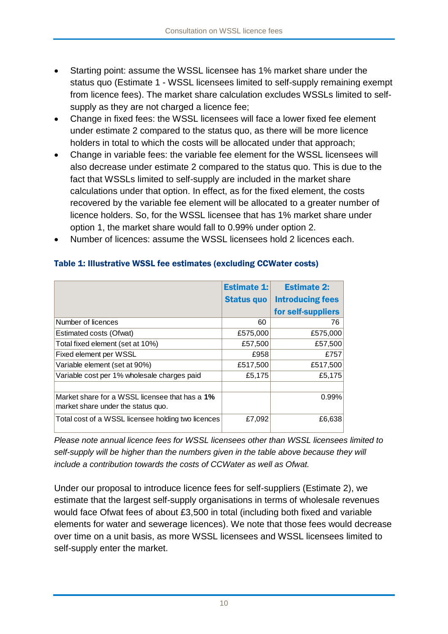- Starting point: assume the WSSL licensee has 1% market share under the status quo (Estimate 1 - WSSL licensees limited to self-supply remaining exempt from licence fees). The market share calculation excludes WSSLs limited to selfsupply as they are not charged a licence fee;
- Change in fixed fees: the WSSL licensees will face a lower fixed fee element under estimate 2 compared to the status quo, as there will be more licence holders in total to which the costs will be allocated under that approach;
- Change in variable fees: the variable fee element for the WSSL licensees will also decrease under estimate 2 compared to the status quo. This is due to the fact that WSSLs limited to self-supply are included in the market share calculations under that option. In effect, as for the fixed element, the costs recovered by the variable fee element will be allocated to a greater number of licence holders. So, for the WSSL licensee that has 1% market share under option 1, the market share would fall to 0.99% under option 2.
- Number of licences: assume the WSSL licensees hold 2 licences each.

|                                                                                      | <b>Estimate 1:</b> | <b>Estimate 2:</b>      |
|--------------------------------------------------------------------------------------|--------------------|-------------------------|
|                                                                                      | <b>Status quo</b>  | <b>Introducing fees</b> |
|                                                                                      |                    | for self-suppliers      |
| Number of licences                                                                   | 60                 | 76                      |
| Estimated costs (Ofwat)                                                              | £575,000           | £575,000                |
| Total fixed element (set at 10%)                                                     | £57,500            | £57,500                 |
| Fixed element per WSSL                                                               | £958               | £757                    |
| Variable element (set at 90%)                                                        | £517,500           | £517,500                |
| Variable cost per 1% wholesale charges paid                                          | £5,175             | £5,175                  |
|                                                                                      |                    |                         |
| Market share for a WSSL licensee that has a 1%<br>market share under the status quo. |                    | 0.99%                   |
| Total cost of a WSSL licensee holding two licences                                   | £7,092             | £6,638                  |

#### Table 1: Illustrative WSSL fee estimates (excluding CCWater costs)

*Please note annual licence fees for WSSL licensees other than WSSL licensees limited to self-supply will be higher than the numbers given in the table above because they will include a contribution towards the costs of CCWater as well as Ofwat.*

Under our proposal to introduce licence fees for self-suppliers (Estimate 2), we estimate that the largest self-supply organisations in terms of wholesale revenues would face Ofwat fees of about £3,500 in total (including both fixed and variable elements for water and sewerage licences). We note that those fees would decrease over time on a unit basis, as more WSSL licensees and WSSL licensees limited to self-supply enter the market.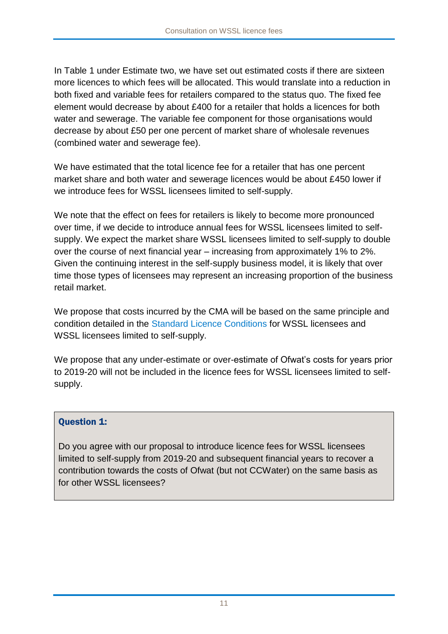In Table 1 under Estimate two, we have set out estimated costs if there are sixteen more licences to which fees will be allocated. This would translate into a reduction in both fixed and variable fees for retailers compared to the status quo. The fixed fee element would decrease by about £400 for a retailer that holds a licences for both water and sewerage. The variable fee component for those organisations would decrease by about £50 per one percent of market share of wholesale revenues (combined water and sewerage fee).

We have estimated that the total licence fee for a retailer that has one percent market share and both water and sewerage licences would be about £450 lower if we introduce fees for WSSL licensees limited to self-supply.

We note that the effect on fees for retailers is likely to become more pronounced over time, if we decide to introduce annual fees for WSSL licensees limited to selfsupply. We expect the market share WSSL licensees limited to self-supply to double over the course of next financial year – increasing from approximately 1% to 2%. Given the continuing interest in the self-supply business model, it is likely that over time those types of licensees may represent an increasing proportion of the business retail market.

We propose that costs incurred by the CMA will be based on the same principle and condition detailed in the [Standard Licence Conditions](https://www.gov.uk/government/publications/water-supply-and-sewerage-licencing-regime-standard-licence-conditions/consolidated-version-of-water-supply-and-sewerage-licence-standard-conditions) for WSSL licensees and WSSL licensees limited to self-supply.

We propose that any under-estimate or over-estimate of Ofwat's costs for years prior to 2019-20 will not be included in the licence fees for WSSL licensees limited to selfsupply.

#### Question 1:

Do you agree with our proposal to introduce licence fees for WSSL licensees limited to self-supply from 2019-20 and subsequent financial years to recover a contribution towards the costs of Ofwat (but not CCWater) on the same basis as for other WSSL licensees?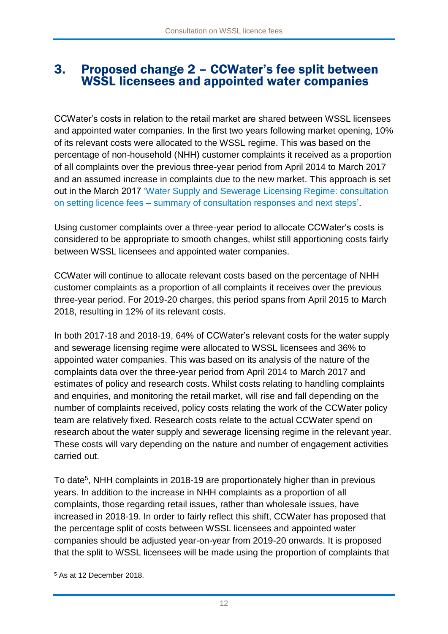### 3. Proposed change 2 – CCWater's fee split between WSSL licensees and appointed water companies

CCWater's costs in relation to the retail market are shared between WSSL licensees and appointed water companies. In the first two years following market opening, 10% of its relevant costs were allocated to the WSSL regime. This was based on the percentage of non-household (NHH) customer complaints it received as a proportion of all complaints over the previous three-year period from April 2014 to March 2017 and an assumed increase in complaints due to the new market. This approach is set out in the March 2017 ['Water Supply and Sewerage Licensing Regime: consultation](https://www.ofwat.gov.uk/wp-content/uploads/2017/03/17-03-09-WSSL-Licence-fee-consultation-Summary-of-responses-and-conclusions.pdf)  on setting licence fees – [summary of consultation responses and next steps'](https://www.ofwat.gov.uk/wp-content/uploads/2017/03/17-03-09-WSSL-Licence-fee-consultation-Summary-of-responses-and-conclusions.pdf).

Using customer complaints over a three-year period to allocate CCWater's costs is considered to be appropriate to smooth changes, whilst still apportioning costs fairly between WSSL licensees and appointed water companies.

CCWater will continue to allocate relevant costs based on the percentage of NHH customer complaints as a proportion of all complaints it receives over the previous three-year period. For 2019-20 charges, this period spans from April 2015 to March 2018, resulting in 12% of its relevant costs.

In both 2017-18 and 2018-19, 64% of CCWater's relevant costs for the water supply and sewerage licensing regime were allocated to WSSL licensees and 36% to appointed water companies. This was based on its analysis of the nature of the complaints data over the three-year period from April 2014 to March 2017 and estimates of policy and research costs. Whilst costs relating to handling complaints and enquiries, and monitoring the retail market, will rise and fall depending on the number of complaints received, policy costs relating the work of the CCWater policy team are relatively fixed. Research costs relate to the actual CCWater spend on research about the water supply and sewerage licensing regime in the relevant year. These costs will vary depending on the nature and number of engagement activities carried out.

To date<sup>5</sup>, NHH complaints in 2018-19 are proportionately higher than in previous years. In addition to the increase in NHH complaints as a proportion of all complaints, those regarding retail issues, rather than wholesale issues, have increased in 2018-19. In order to fairly reflect this shift, CCWater has proposed that the percentage split of costs between WSSL licensees and appointed water companies should be adjusted year-on-year from 2019-20 onwards. It is proposed that the split to WSSL licensees will be made using the proportion of complaints that

<sup>5</sup> As at 12 December 2018.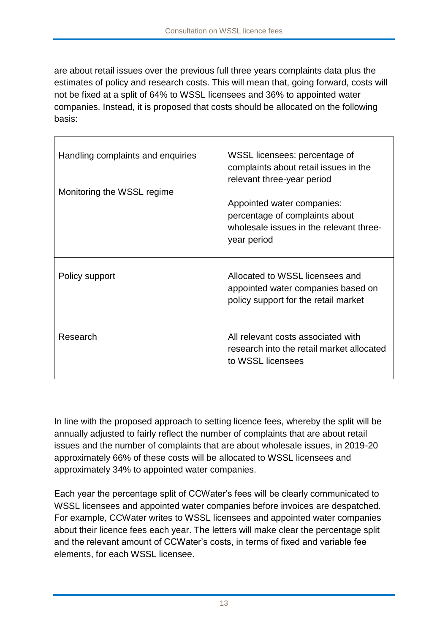are about retail issues over the previous full three years complaints data plus the estimates of policy and research costs. This will mean that, going forward, costs will not be fixed at a split of 64% to WSSL licensees and 36% to appointed water companies. Instead, it is proposed that costs should be allocated on the following basis:

| Handling complaints and enquiries | WSSL licensees: percentage of<br>complaints about retail issues in the<br>relevant three-year period                   |  |  |
|-----------------------------------|------------------------------------------------------------------------------------------------------------------------|--|--|
| Monitoring the WSSL regime        | Appointed water companies:<br>percentage of complaints about<br>wholesale issues in the relevant three-<br>year period |  |  |
| Policy support                    | Allocated to WSSL licensees and<br>appointed water companies based on<br>policy support for the retail market          |  |  |
| Research                          | All relevant costs associated with<br>research into the retail market allocated<br>to WSSL licensees                   |  |  |

In line with the proposed approach to setting licence fees, whereby the split will be annually adjusted to fairly reflect the number of complaints that are about retail issues and the number of complaints that are about wholesale issues, in 2019-20 approximately 66% of these costs will be allocated to WSSL licensees and approximately 34% to appointed water companies.

Each year the percentage split of CCWater's fees will be clearly communicated to WSSL licensees and appointed water companies before invoices are despatched. For example, CCWater writes to WSSL licensees and appointed water companies about their licence fees each year. The letters will make clear the percentage split and the relevant amount of CCWater's costs, in terms of fixed and variable fee elements, for each WSSL licensee.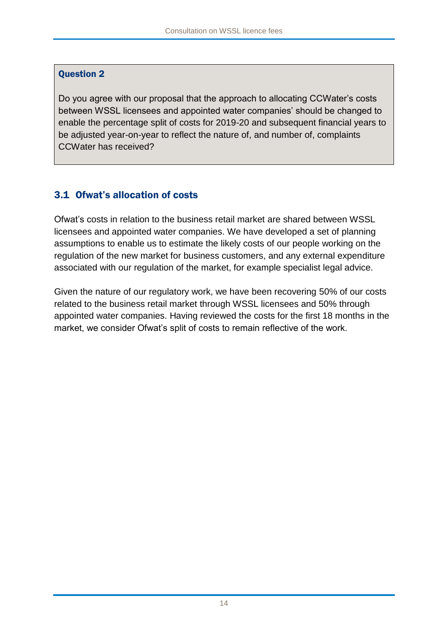#### Question 2

Do you agree with our proposal that the approach to allocating CCWater's costs between WSSL licensees and appointed water companies' should be changed to enable the percentage split of costs for 2019-20 and subsequent financial years to be adjusted year-on-year to reflect the nature of, and number of, complaints CCWater has received?

### 3.1 Ofwat's allocation of costs

Ofwat's costs in relation to the business retail market are shared between WSSL licensees and appointed water companies. We have developed a set of planning assumptions to enable us to estimate the likely costs of our people working on the regulation of the new market for business customers, and any external expenditure associated with our regulation of the market, for example specialist legal advice.

Given the nature of our regulatory work, we have been recovering 50% of our costs related to the business retail market through WSSL licensees and 50% through appointed water companies. Having reviewed the costs for the first 18 months in the market, we consider Ofwat's split of costs to remain reflective of the work.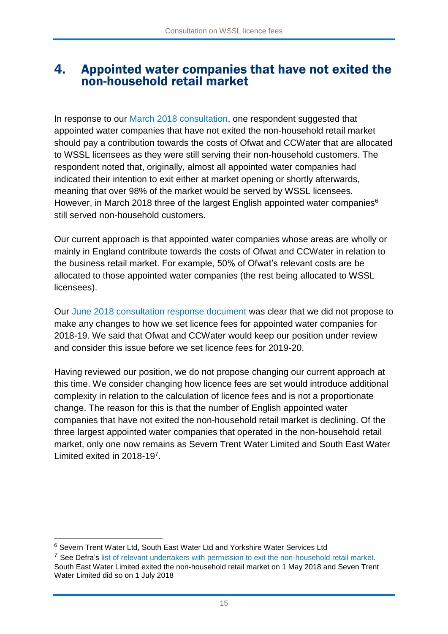### 4. Appointed water companies that have not exited the non-household retail market

In response to our [March 2018 consultation,](https://www.ofwat.gov.uk/wp-content/uploads/2018/03/Water-Supply-and-Sewerage-Licensing-Regime-–-consultation-on-proposed-changes-to-how-licence-fees-are-set.pdf) one respondent suggested that appointed water companies that have not exited the non-household retail market should pay a contribution towards the costs of Ofwat and CCWater that are allocated to WSSL licensees as they were still serving their non-household customers. The respondent noted that, originally, almost all appointed water companies had indicated their intention to exit either at market opening or shortly afterwards, meaning that over 98% of the market would be served by WSSL licensees. However, in March 2018 three of the largest English appointed water companies<sup>6</sup> still served non-household customers.

Our current approach is that appointed water companies whose areas are wholly or mainly in England contribute towards the costs of Ofwat and CCWater in relation to the business retail market. For example, 50% of Ofwat's relevant costs are be allocated to those appointed water companies (the rest being allocated to WSSL licensees).

Our [June 2018 consultation response document](https://www.ofwat.gov.uk/wp-content/uploads/2018/06/Water-Supply-and-Sewerage-Licensing-Regime-–-proposed-changes-to-how-licence-fees-are-set-summary-of-consultation-responses-and-conclusions.pdf) was clear that we did not propose to make any changes to how we set licence fees for appointed water companies for 2018-19. We said that Ofwat and CCWater would keep our position under review and consider this issue before we set licence fees for 2019-20.

Having reviewed our position, we do not propose changing our current approach at this time. We consider changing how licence fees are set would introduce additional complexity in relation to the calculation of licence fees and is not a proportionate change. The reason for this is that the number of English appointed water companies that have not exited the non-household retail market is declining. Of the three largest appointed water companies that operated in the non-household retail market, only one now remains as Severn Trent Water Limited and South East Water Limited exited in 2018-19<sup>7</sup> .

<sup>6</sup> Severn Trent Water Ltd, South East Water Ltd and Yorkshire Water Services Ltd

<sup>&</sup>lt;sup>7</sup> See Defra's list of relevant undertakers with permission to exit the non-household retail market. South East Water Limited exited the non-household retail market on 1 May 2018 and Seven Trent Water Limited did so on 1 July 2018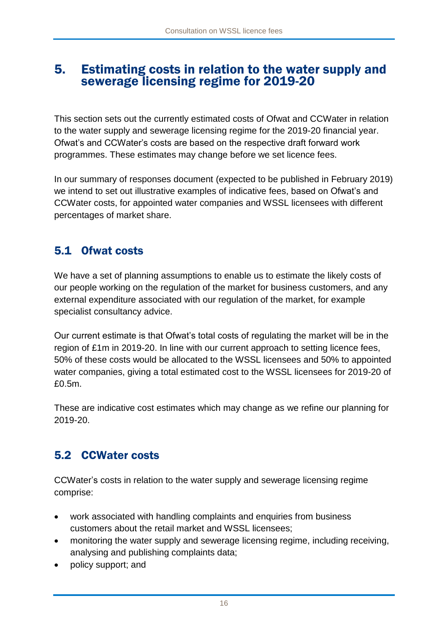## 5. Estimating costs in relation to the water supply and sewerage licensing regime for 2019-20

This section sets out the currently estimated costs of Ofwat and CCWater in relation to the water supply and sewerage licensing regime for the 2019-20 financial year. Ofwat's and CCWater's costs are based on the respective draft forward work programmes. These estimates may change before we set licence fees.

In our summary of responses document (expected to be published in February 2019) we intend to set out illustrative examples of indicative fees, based on Ofwat's and CCWater costs, for appointed water companies and WSSL licensees with different percentages of market share.

## 5.1 Ofwat costs

We have a set of planning assumptions to enable us to estimate the likely costs of our people working on the regulation of the market for business customers, and any external expenditure associated with our regulation of the market, for example specialist consultancy advice.

Our current estimate is that Ofwat's total costs of regulating the market will be in the region of £1m in 2019-20. In line with our current approach to setting licence fees, 50% of these costs would be allocated to the WSSL licensees and 50% to appointed water companies, giving a total estimated cost to the WSSL licensees for 2019-20 of £0.5m.

These are indicative cost estimates which may change as we refine our planning for 2019-20.

## 5.2 CCWater costs

CCWater's costs in relation to the water supply and sewerage licensing regime comprise:

- work associated with handling complaints and enquiries from business customers about the retail market and WSSL licensees;
- monitoring the water supply and sewerage licensing regime, including receiving, analysing and publishing complaints data;
- policy support; and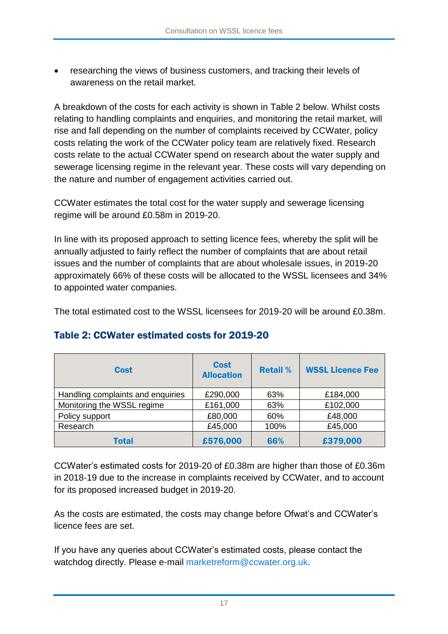researching the views of business customers, and tracking their levels of awareness on the retail market.

A breakdown of the costs for each activity is shown in Table 2 below. Whilst costs relating to handling complaints and enquiries, and monitoring the retail market, will rise and fall depending on the number of complaints received by CCWater, policy costs relating the work of the CCWater policy team are relatively fixed. Research costs relate to the actual CCWater spend on research about the water supply and sewerage licensing regime in the relevant year. These costs will vary depending on the nature and number of engagement activities carried out.

CCWater estimates the total cost for the water supply and sewerage licensing regime will be around £0.58m in 2019-20.

In line with its proposed approach to setting licence fees, whereby the split will be annually adjusted to fairly reflect the number of complaints that are about retail issues and the number of complaints that are about wholesale issues, in 2019-20 approximately 66% of these costs will be allocated to the WSSL licensees and 34% to appointed water companies.

The total estimated cost to the WSSL licensees for 2019-20 will be around £0.38m.

| <b>Cost</b>                       | <b>Cost</b><br><b>Allocation</b> | <b>Retail %</b> | <b>WSSL Licence Fee</b> |
|-----------------------------------|----------------------------------|-----------------|-------------------------|
| Handling complaints and enquiries | £290,000                         | 63%             | £184,000                |
| Monitoring the WSSL regime        | £161,000                         | 63%             | £102,000                |
| Policy support                    | £80,000                          | 60%             | £48,000                 |
| Research                          | £45,000                          | 100%            | £45,000                 |
| Total                             | £576,000                         | 66%             | £379,000                |

### Table 2: CCWater estimated costs for 2019-20

CCWater's estimated costs for 2019-20 of £0.38m are higher than those of £0.36m in 2018-19 due to the increase in complaints received by CCWater, and to account for its proposed increased budget in 2019-20.

As the costs are estimated, the costs may change before Ofwat's and CCWater's licence fees are set.

If you have any queries about CCWater's estimated costs, please contact the watchdog directly. Please e-mail [marketreform@ccwater.org.uk.](mailto:marketreform@ccwater.org.uk)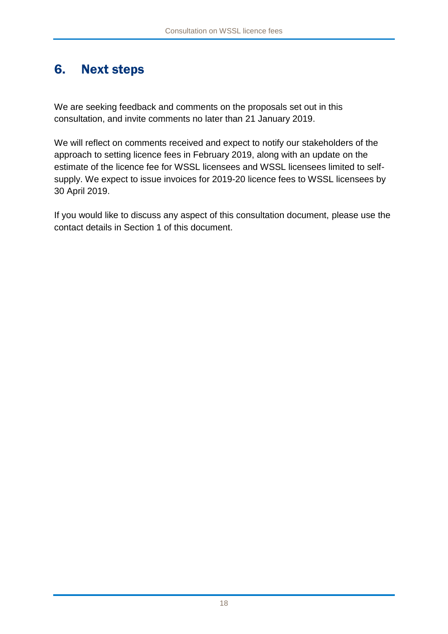## 6. Next steps

We are seeking feedback and comments on the proposals set out in this consultation, and invite comments no later than 21 January 2019.

We will reflect on comments received and expect to notify our stakeholders of the approach to setting licence fees in February 2019, along with an update on the estimate of the licence fee for WSSL licensees and WSSL licensees limited to selfsupply. We expect to issue invoices for 2019-20 licence fees to WSSL licensees by 30 April 2019.

If you would like to discuss any aspect of this consultation document, please use the contact details in Section 1 of this document.